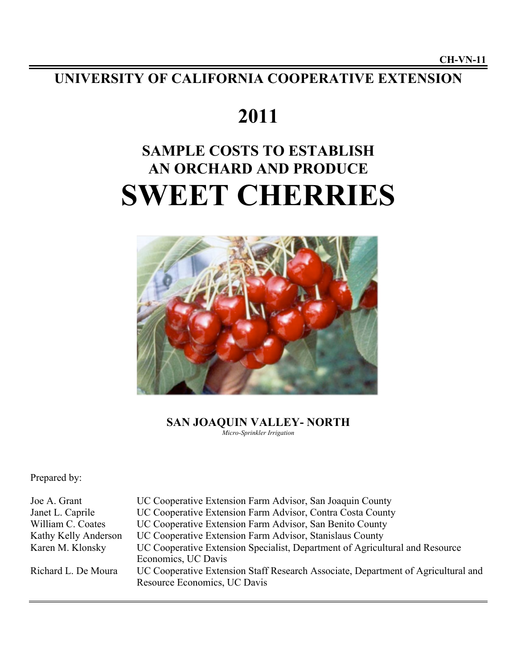**UNIVERSITY OF CALIFORNIA COOPERATIVE EXTENSION**

# **2011**

# **SAMPLE COSTS TO ESTABLISH AN ORCHARD AND PRODUCE SWEET CHERRIES**



**SAN JOAQUIN VALLEY- NORTH** *Micro-Sprinkler Irrigation*

Prepared by:

| UC Cooperative Extension Specialist, Department of Agricultural and Resource      |
|-----------------------------------------------------------------------------------|
|                                                                                   |
| UC Cooperative Extension Staff Research Associate, Department of Agricultural and |
|                                                                                   |
|                                                                                   |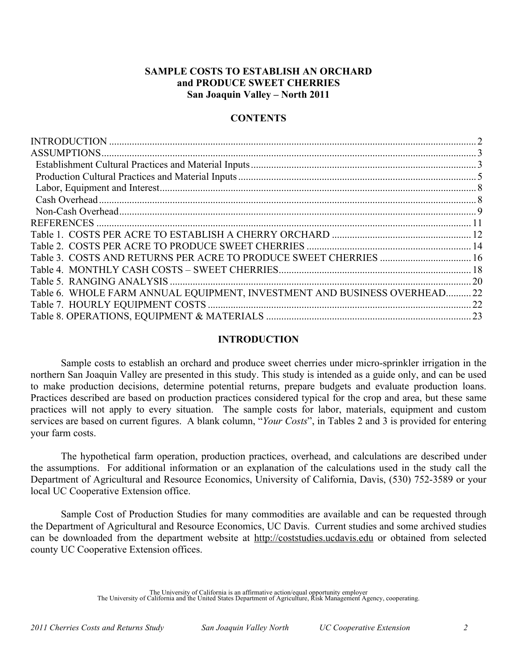# **SAMPLE COSTS TO ESTABLISH AN ORCHARD and PRODUCE SWEET CHERRIES San Joaquin Valley – North 2011**

# **CONTENTS**

| ASSUMPTIONS.                                                           |           |
|------------------------------------------------------------------------|-----------|
|                                                                        |           |
|                                                                        |           |
|                                                                        |           |
|                                                                        |           |
|                                                                        |           |
| <b>REFERENCES</b>                                                      |           |
|                                                                        |           |
|                                                                        |           |
| Table 3. COSTS AND RETURNS PER ACRE TO PRODUCE SWEET CHERRIES  16      |           |
|                                                                        |           |
|                                                                        | <b>20</b> |
| Table 6. WHOLE FARM ANNUAL EQUIPMENT, INVESTMENT AND BUSINESS OVERHEAD | .22       |
|                                                                        | 22        |
|                                                                        |           |
|                                                                        |           |

# **INTRODUCTION**

Sample costs to establish an orchard and produce sweet cherries under micro-sprinkler irrigation in the northern San Joaquin Valley are presented in this study. This study is intended as a guide only, and can be used to make production decisions, determine potential returns, prepare budgets and evaluate production loans. Practices described are based on production practices considered typical for the crop and area, but these same practices will not apply to every situation. The sample costs for labor, materials, equipment and custom services are based on current figures. A blank column, "*Your Costs*", in Tables 2 and 3 is provided for entering your farm costs.

The hypothetical farm operation, production practices, overhead, and calculations are described under the assumptions. For additional information or an explanation of the calculations used in the study call the Department of Agricultural and Resource Economics, University of California, Davis, (530) 752-3589 or your local UC Cooperative Extension office.

Sample Cost of Production Studies for many commodities are available and can be requested through the Department of Agricultural and Resource Economics, UC Davis. Current studies and some archived studies can be downloaded from the department website at http://coststudies.ucdavis.edu or obtained from selected county UC Cooperative Extension offices.

The University of California is an affirmative action/equal opportunity employer The University of California and the United States Department of Agriculture, Risk Management Agency, cooperating.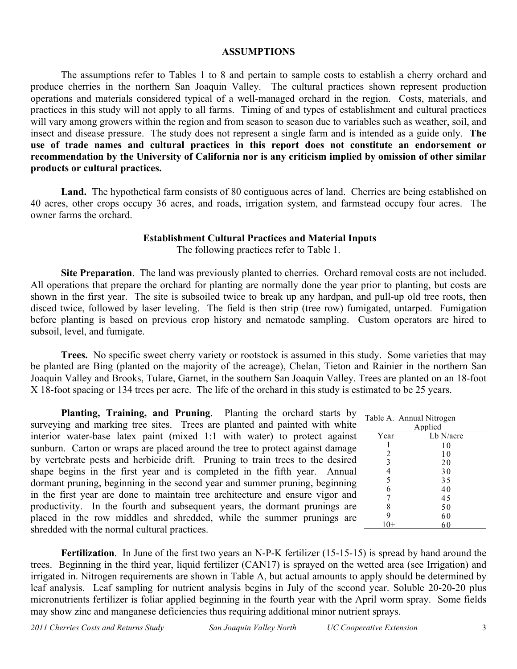## **ASSUMPTIONS**

The assumptions refer to Tables 1 to 8 and pertain to sample costs to establish a cherry orchard and produce cherries in the northern San Joaquin Valley. The cultural practices shown represent production operations and materials considered typical of a well-managed orchard in the region. Costs, materials, and practices in this study will not apply to all farms. Timing of and types of establishment and cultural practices will vary among growers within the region and from season to season due to variables such as weather, soil, and insect and disease pressure. The study does not represent a single farm and is intended as a guide only. **The use of trade names and cultural practices in this report does not constitute an endorsement or recommendation by the University of California nor is any criticism implied by omission of other similar products or cultural practices.** 

Land. The hypothetical farm consists of 80 contiguous acres of land. Cherries are being established on 40 acres, other crops occupy 36 acres, and roads, irrigation system, and farmstead occupy four acres. The owner farms the orchard.

# **Establishment Cultural Practices and Material Inputs**

The following practices refer to Table 1.

**Site Preparation**. The land was previously planted to cherries. Orchard removal costs are not included. All operations that prepare the orchard for planting are normally done the year prior to planting, but costs are shown in the first year. The site is subsoiled twice to break up any hardpan, and pull-up old tree roots, then disced twice, followed by laser leveling. The field is then strip (tree row) fumigated, untarped. Fumigation before planting is based on previous crop history and nematode sampling. Custom operators are hired to subsoil, level, and fumigate.

**Trees.** No specific sweet cherry variety or rootstock is assumed in this study. Some varieties that may be planted are Bing (planted on the majority of the acreage), Chelan, Tieton and Rainier in the northern San Joaquin Valley and Brooks, Tulare, Garnet, in the southern San Joaquin Valley. Trees are planted on an 18-foot X 18-foot spacing or 134 trees per acre. The life of the orchard in this study is estimated to be 25 years.

**Planting, Training, and Pruning**. Planting the orchard starts by surveying and marking tree sites. Trees are planted and painted with white interior water-base latex paint (mixed 1:1 with water) to protect against sunburn. Carton or wraps are placed around the tree to protect against damage by vertebrate pests and herbicide drift. Pruning to train trees to the desired shape begins in the first year and is completed in the fifth year. Annual dormant pruning, beginning in the second year and summer pruning, beginning in the first year are done to maintain tree architecture and ensure vigor and productivity. In the fourth and subsequent years, the dormant prunings are placed in the row middles and shredded, while the summer prunings are shredded with the normal cultural practices.

|                | Table A. Annual Nitrogen |  |  |  |  |  |  |  |
|----------------|--------------------------|--|--|--|--|--|--|--|
| Applied        |                          |  |  |  |  |  |  |  |
| Year           | Lb N/acre                |  |  |  |  |  |  |  |
|                | 10                       |  |  |  |  |  |  |  |
| 2              | 10                       |  |  |  |  |  |  |  |
| $\overline{3}$ | 20                       |  |  |  |  |  |  |  |
| $\frac{4}{5}$  | 30                       |  |  |  |  |  |  |  |
|                | 35                       |  |  |  |  |  |  |  |
| 6              | 40                       |  |  |  |  |  |  |  |
| 7              | 45                       |  |  |  |  |  |  |  |
| 8              | 50                       |  |  |  |  |  |  |  |
| 9              | 60                       |  |  |  |  |  |  |  |
|                | 60                       |  |  |  |  |  |  |  |

**Fertilization**. In June of the first two years an N-P-K fertilizer (15-15-15) is spread by hand around the trees. Beginning in the third year, liquid fertilizer (CAN17) is sprayed on the wetted area (see Irrigation) and irrigated in. Nitrogen requirements are shown in Table A, but actual amounts to apply should be determined by leaf analysis. Leaf sampling for nutrient analysis begins in July of the second year. Soluble 20-20-20 plus micronutrients fertilizer is foliar applied beginning in the fourth year with the April worm spray. Some fields may show zinc and manganese deficiencies thus requiring additional minor nutrient sprays.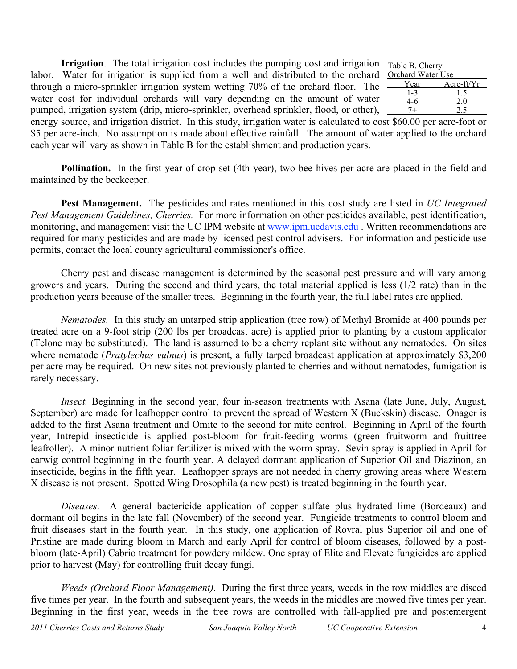**Irrigation**. The total irrigation cost includes the pumping cost and irrigation labor. Water for irrigation is supplied from a well and distributed to the orchard through a micro-sprinkler irrigation system wetting 70% of the orchard floor. The water cost for individual orchards will vary depending on the amount of water pumped, irrigation system (drip, micro-sprinkler, overhead sprinkler, flood, or other),

|   | Table B. Cherry   |               |
|---|-------------------|---------------|
|   | Orchard Water Use |               |
| ć | Year              | Acre- $ft/Yr$ |
|   | $1 - 3$           | 1.5           |
|   | $4-6$             | 2.0           |
|   |                   | 2.5           |
|   |                   |               |

energy source, and irrigation district. In this study, irrigation water is calculated to cost \$60.00 per acre-foot or \$5 per acre-inch. No assumption is made about effective rainfall. The amount of water applied to the orchard each year will vary as shown in Table B for the establishment and production years.

**Pollination.** In the first year of crop set (4th year), two bee hives per acre are placed in the field and maintained by the beekeeper.

**Pest Management.** The pesticides and rates mentioned in this cost study are listed in *UC Integrated Pest Management Guidelines, Cherries.* For more information on other pesticides available, pest identification, monitoring, and management visit the UC IPM website at www.ipm.ucdavis.edu . Written recommendations are required for many pesticides and are made by licensed pest control advisers. For information and pesticide use permits, contact the local county agricultural commissioner's office.

Cherry pest and disease management is determined by the seasonal pest pressure and will vary among growers and years. During the second and third years, the total material applied is less (1/2 rate) than in the production years because of the smaller trees. Beginning in the fourth year, the full label rates are applied.

*Nematodes.* In this study an untarped strip application (tree row) of Methyl Bromide at 400 pounds per treated acre on a 9-foot strip (200 lbs per broadcast acre) is applied prior to planting by a custom applicator (Telone may be substituted). The land is assumed to be a cherry replant site without any nematodes. On sites where nematode *(Pratylechus vulnus)* is present, a fully tarped broadcast application at approximately \$3,200 per acre may be required. On new sites not previously planted to cherries and without nematodes, fumigation is rarely necessary.

*Insect.* Beginning in the second year, four in-season treatments with Asana (late June, July, August, September) are made for leafhopper control to prevent the spread of Western X (Buckskin) disease. Onager is added to the first Asana treatment and Omite to the second for mite control. Beginning in April of the fourth year, Intrepid insecticide is applied post-bloom for fruit-feeding worms (green fruitworm and fruittree leafroller). A minor nutrient foliar fertilizer is mixed with the worm spray. Sevin spray is applied in April for earwig control beginning in the fourth year. A delayed dormant application of Superior Oil and Diazinon, an insecticide, begins in the fifth year. Leafhopper sprays are not needed in cherry growing areas where Western X disease is not present. Spotted Wing Drosophila (a new pest) is treated beginning in the fourth year.

*Diseases*. A general bactericide application of copper sulfate plus hydrated lime (Bordeaux) and dormant oil begins in the late fall (November) of the second year. Fungicide treatments to control bloom and fruit diseases start in the fourth year. In this study, one application of Rovral plus Superior oil and one of Pristine are made during bloom in March and early April for control of bloom diseases, followed by a postbloom (late-April) Cabrio treatment for powdery mildew. One spray of Elite and Elevate fungicides are applied prior to harvest (May) for controlling fruit decay fungi.

*Weeds (Orchard Floor Management)*. During the first three years, weeds in the row middles are disced five times per year. In the fourth and subsequent years, the weeds in the middles are mowed five times per year. Beginning in the first year, weeds in the tree rows are controlled with fall-applied pre and postemergent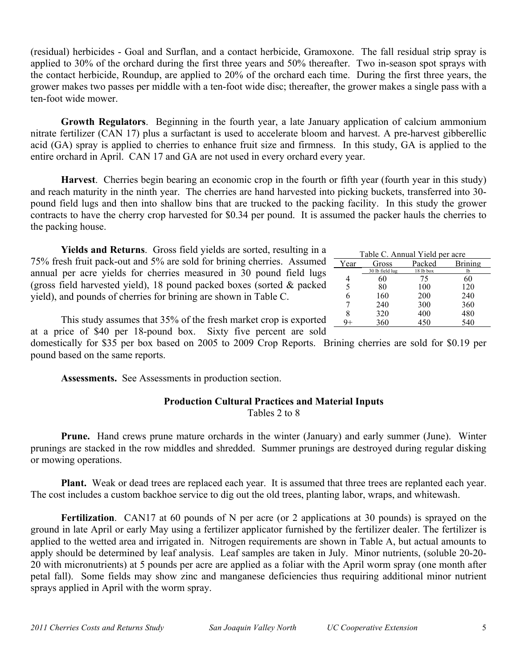(residual) herbicides - Goal and Surflan, and a contact herbicide, Gramoxone. The fall residual strip spray is applied to 30% of the orchard during the first three years and 50% thereafter. Two in-season spot sprays with the contact herbicide, Roundup, are applied to 20% of the orchard each time. During the first three years, the grower makes two passes per middle with a ten-foot wide disc; thereafter, the grower makes a single pass with a ten-foot wide mower.

**Growth Regulators**. Beginning in the fourth year, a late January application of calcium ammonium nitrate fertilizer (CAN 17) plus a surfactant is used to accelerate bloom and harvest. A pre-harvest gibberellic acid (GA) spray is applied to cherries to enhance fruit size and firmness. In this study, GA is applied to the entire orchard in April. CAN 17 and GA are not used in every orchard every year.

**Harvest**. Cherries begin bearing an economic crop in the fourth or fifth year (fourth year in this study) and reach maturity in the ninth year. The cherries are hand harvested into picking buckets, transferred into 30 pound field lugs and then into shallow bins that are trucked to the packing facility. In this study the grower contracts to have the cherry crop harvested for \$0.34 per pound. It is assumed the packer hauls the cherries to the packing house.

**Yields and Returns**. Gross field yields are sorted, resulting in a 75% fresh fruit pack-out and 5% are sold for brining cherries. Assumed annual per acre yields for cherries measured in 30 pound field lugs (gross field harvested yield), 18 pound packed boxes (sorted & packed yield), and pounds of cherries for brining are shown in Table C.

| Table C. Annual Yield per acre |                 |           |         |  |  |  |  |  |  |  |
|--------------------------------|-----------------|-----------|---------|--|--|--|--|--|--|--|
| Year                           | Gross           | Packed    | Brining |  |  |  |  |  |  |  |
|                                | 30 lb field lug | 18 lb box | lb      |  |  |  |  |  |  |  |
|                                | 60              | 75        | 60      |  |  |  |  |  |  |  |
| 5                              | 80              | 100       | 120     |  |  |  |  |  |  |  |
| 6                              | 160             | 200       | 240     |  |  |  |  |  |  |  |
| 7                              | 240             | 300       | 360     |  |  |  |  |  |  |  |
| 8                              | 320             | 400       | 480     |  |  |  |  |  |  |  |
|                                | 360             | 450       | 540     |  |  |  |  |  |  |  |

This study assumes that 35% of the fresh market crop is exported at a price of \$40 per 18-pound box. Sixty five percent are sold

domestically for \$35 per box based on 2005 to 2009 Crop Reports. Brining cherries are sold for \$0.19 per pound based on the same reports.

**Assessments.** See Assessments in production section.

## **Production Cultural Practices and Material Inputs** Tables 2 to 8

**Prune.** Hand crews prune mature orchards in the winter (January) and early summer (June). Winter prunings are stacked in the row middles and shredded. Summer prunings are destroyed during regular disking or mowing operations.

**Plant.** Weak or dead trees are replaced each year. It is assumed that three trees are replanted each year. The cost includes a custom backhoe service to dig out the old trees, planting labor, wraps, and whitewash.

**Fertilization**. CAN17 at 60 pounds of N per acre (or 2 applications at 30 pounds) is sprayed on the ground in late April or early May using a fertilizer applicator furnished by the fertilizer dealer. The fertilizer is applied to the wetted area and irrigated in. Nitrogen requirements are shown in Table A, but actual amounts to apply should be determined by leaf analysis. Leaf samples are taken in July. Minor nutrients, (soluble 20-20- 20 with micronutrients) at 5 pounds per acre are applied as a foliar with the April worm spray (one month after petal fall). Some fields may show zinc and manganese deficiencies thus requiring additional minor nutrient sprays applied in April with the worm spray.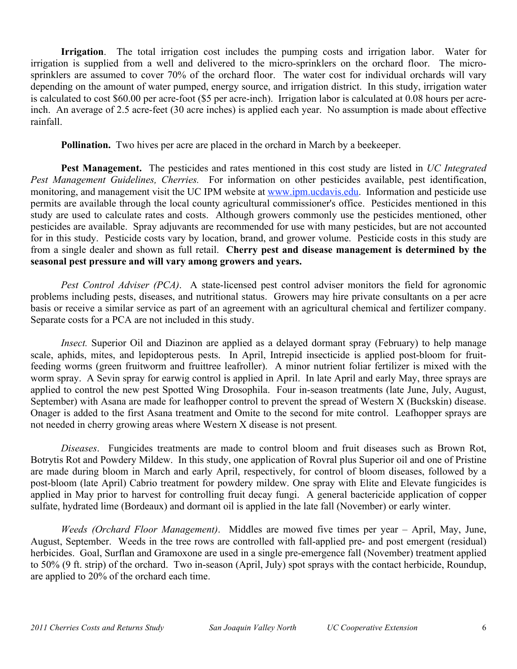**Irrigation**. The total irrigation cost includes the pumping costs and irrigation labor. Water for irrigation is supplied from a well and delivered to the micro-sprinklers on the orchard floor. The microsprinklers are assumed to cover 70% of the orchard floor. The water cost for individual orchards will vary depending on the amount of water pumped, energy source, and irrigation district. In this study, irrigation water is calculated to cost \$60.00 per acre-foot (\$5 per acre-inch). Irrigation labor is calculated at 0.08 hours per acreinch. An average of 2.5 acre-feet (30 acre inches) is applied each year. No assumption is made about effective rainfall.

**Pollination.** Two hives per acre are placed in the orchard in March by a beekeeper.

**Pest Management.** The pesticides and rates mentioned in this cost study are listed in *UC Integrated Pest Management Guidelines, Cherries.* For information on other pesticides available, pest identification, monitoring, and management visit the UC IPM website at www.ipm.ucdavis.edu. Information and pesticide use permits are available through the local county agricultural commissioner's office. Pesticides mentioned in this study are used to calculate rates and costs. Although growers commonly use the pesticides mentioned, other pesticides are available. Spray adjuvants are recommended for use with many pesticides, but are not accounted for in this study. Pesticide costs vary by location, brand, and grower volume. Pesticide costs in this study are from a single dealer and shown as full retail. **Cherry pest and disease management is determined by the seasonal pest pressure and will vary among growers and years.** 

*Pest Control Adviser (PCA)*. A state-licensed pest control adviser monitors the field for agronomic problems including pests, diseases, and nutritional status. Growers may hire private consultants on a per acre basis or receive a similar service as part of an agreement with an agricultural chemical and fertilizer company. Separate costs for a PCA are not included in this study.

*Insect.* Superior Oil and Diazinon are applied as a delayed dormant spray (February) to help manage scale, aphids, mites, and lepidopterous pests. In April, Intrepid insecticide is applied post-bloom for fruitfeeding worms (green fruitworm and fruittree leafroller). A minor nutrient foliar fertilizer is mixed with the worm spray. A Sevin spray for earwig control is applied in April. In late April and early May, three sprays are applied to control the new pest Spotted Wing Drosophila. Four in-season treatments (late June, July, August, September) with Asana are made for leafhopper control to prevent the spread of Western X (Buckskin) disease. Onager is added to the first Asana treatment and Omite to the second for mite control. Leafhopper sprays are not needed in cherry growing areas where Western X disease is not present.

*Diseases*. Fungicides treatments are made to control bloom and fruit diseases such as Brown Rot, Botrytis Rot and Powdery Mildew. In this study, one application of Rovral plus Superior oil and one of Pristine are made during bloom in March and early April, respectively, for control of bloom diseases, followed by a post-bloom (late April) Cabrio treatment for powdery mildew. One spray with Elite and Elevate fungicides is applied in May prior to harvest for controlling fruit decay fungi. A general bactericide application of copper sulfate, hydrated lime (Bordeaux) and dormant oil is applied in the late fall (November) or early winter.

*Weeds (Orchard Floor Management)*. Middles are mowed five times per year – April, May, June, August, September. Weeds in the tree rows are controlled with fall-applied pre- and post emergent (residual) herbicides. Goal, Surflan and Gramoxone are used in a single pre-emergence fall (November) treatment applied to 50% (9 ft. strip) of the orchard. Two in-season (April, July) spot sprays with the contact herbicide, Roundup, are applied to 20% of the orchard each time.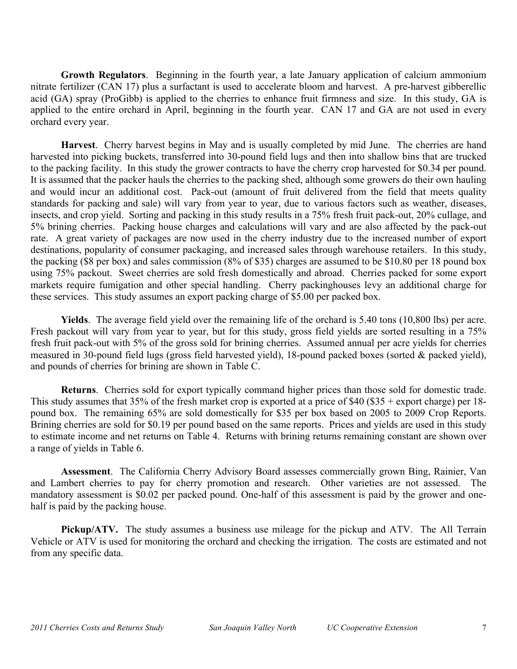**Growth Regulators**. Beginning in the fourth year, a late January application of calcium ammonium nitrate fertilizer (CAN 17) plus a surfactant is used to accelerate bloom and harvest. A pre-harvest gibberellic acid (GA) spray (ProGibb) is applied to the cherries to enhance fruit firmness and size. In this study, GA is applied to the entire orchard in April, beginning in the fourth year. CAN 17 and GA are not used in every orchard every year.

**Harvest**. Cherry harvest begins in May and is usually completed by mid June. The cherries are hand harvested into picking buckets, transferred into 30-pound field lugs and then into shallow bins that are trucked to the packing facility. In this study the grower contracts to have the cherry crop harvested for \$0.34 per pound. It is assumed that the packer hauls the cherries to the packing shed, although some growers do their own hauling and would incur an additional cost. Pack-out (amount of fruit delivered from the field that meets quality standards for packing and sale) will vary from year to year, due to various factors such as weather, diseases, insects, and crop yield. Sorting and packing in this study results in a 75% fresh fruit pack-out, 20% cullage, and 5% brining cherries. Packing house charges and calculations will vary and are also affected by the pack-out rate. A great variety of packages are now used in the cherry industry due to the increased number of export destinations, popularity of consumer packaging, and increased sales through warehouse retailers. In this study, the packing (\$8 per box) and sales commission (8% of \$35) charges are assumed to be \$10.80 per 18 pound box using 75% packout. Sweet cherries are sold fresh domestically and abroad. Cherries packed for some export markets require fumigation and other special handling. Cherry packinghouses levy an additional charge for these services. This study assumes an export packing charge of \$5.00 per packed box.

**Yields**. The average field yield over the remaining life of the orchard is 5.40 tons (10,800 lbs) per acre. Fresh packout will vary from year to year, but for this study, gross field yields are sorted resulting in a 75% fresh fruit pack-out with 5% of the gross sold for brining cherries. Assumed annual per acre yields for cherries measured in 30-pound field lugs (gross field harvested yield), 18-pound packed boxes (sorted & packed yield), and pounds of cherries for brining are shown in Table C.

**Returns**. Cherries sold for export typically command higher prices than those sold for domestic trade. This study assumes that 35% of the fresh market crop is exported at a price of \$40 (\$35 + export charge) per 18 pound box. The remaining 65% are sold domestically for \$35 per box based on 2005 to 2009 Crop Reports. Brining cherries are sold for \$0.19 per pound based on the same reports. Prices and yields are used in this study to estimate income and net returns on Table 4. Returns with brining returns remaining constant are shown over a range of yields in Table 6.

**Assessment**. The California Cherry Advisory Board assesses commercially grown Bing, Rainier, Van and Lambert cherries to pay for cherry promotion and research. Other varieties are not assessed. The mandatory assessment is \$0.02 per packed pound. One-half of this assessment is paid by the grower and onehalf is paid by the packing house.

**Pickup/ATV.** The study assumes a business use mileage for the pickup and ATV. The All Terrain Vehicle or ATV is used for monitoring the orchard and checking the irrigation. The costs are estimated and not from any specific data.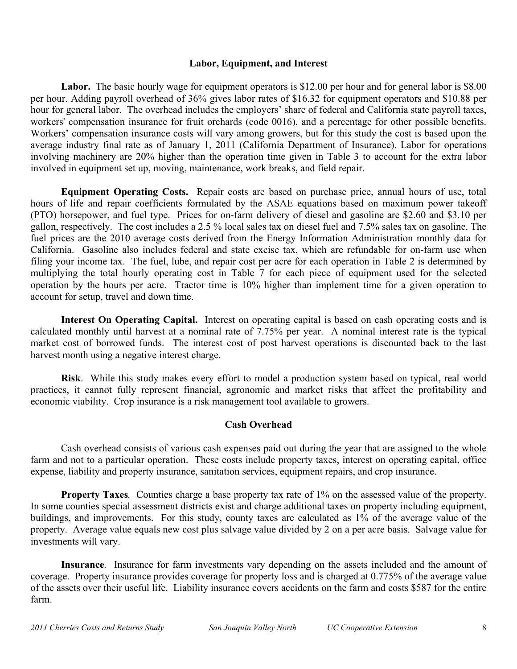## **Labor, Equipment, and Interest**

Labor. The basic hourly wage for equipment operators is \$12.00 per hour and for general labor is \$8.00 per hour. Adding payroll overhead of 36% gives labor rates of \$16.32 for equipment operators and \$10.88 per hour for general labor. The overhead includes the employers' share of federal and California state payroll taxes, workers' compensation insurance for fruit orchards (code 0016), and a percentage for other possible benefits. Workers' compensation insurance costs will vary among growers, but for this study the cost is based upon the average industry final rate as of January 1, 2011 (California Department of Insurance). Labor for operations involving machinery are 20% higher than the operation time given in Table 3 to account for the extra labor involved in equipment set up, moving, maintenance, work breaks, and field repair.

**Equipment Operating Costs.** Repair costs are based on purchase price, annual hours of use, total hours of life and repair coefficients formulated by the ASAE equations based on maximum power takeoff (PTO) horsepower, and fuel type. Prices for on-farm delivery of diesel and gasoline are \$2.60 and \$3.10 per gallon, respectively. The cost includes a 2.5 % local sales tax on diesel fuel and 7.5% sales tax on gasoline. The fuel prices are the 2010 average costs derived from the Energy Information Administration monthly data for California. Gasoline also includes federal and state excise tax, which are refundable for on-farm use when filing your income tax. The fuel, lube, and repair cost per acre for each operation in Table 2 is determined by multiplying the total hourly operating cost in Table 7 for each piece of equipment used for the selected operation by the hours per acre. Tractor time is 10% higher than implement time for a given operation to account for setup, travel and down time.

**Interest On Operating Capital.**Interest on operating capital is based on cash operating costs and is calculated monthly until harvest at a nominal rate of 7.75% per year. A nominal interest rate is the typical market cost of borrowed funds. The interest cost of post harvest operations is discounted back to the last harvest month using a negative interest charge.

**Risk**. While this study makes every effort to model a production system based on typical, real world practices, it cannot fully represent financial, agronomic and market risks that affect the profitability and economic viability. Crop insurance is a risk management tool available to growers.

# **Cash Overhead**

Cash overhead consists of various cash expenses paid out during the year that are assigned to the whole farm and not to a particular operation. These costs include property taxes, interest on operating capital, office expense, liability and property insurance, sanitation services, equipment repairs, and crop insurance.

**Property Taxes***.* Counties charge a base property tax rate of 1% on the assessed value of the property. In some counties special assessment districts exist and charge additional taxes on property including equipment, buildings, and improvements. For this study, county taxes are calculated as 1% of the average value of the property. Average value equals new cost plus salvage value divided by 2 on a per acre basis. Salvage value for investments will vary.

**Insurance***.* Insurance for farm investments vary depending on the assets included and the amount of coverage. Property insurance provides coverage for property loss and is charged at 0.775% of the average value of the assets over their useful life. Liability insurance covers accidents on the farm and costs \$587 for the entire farm.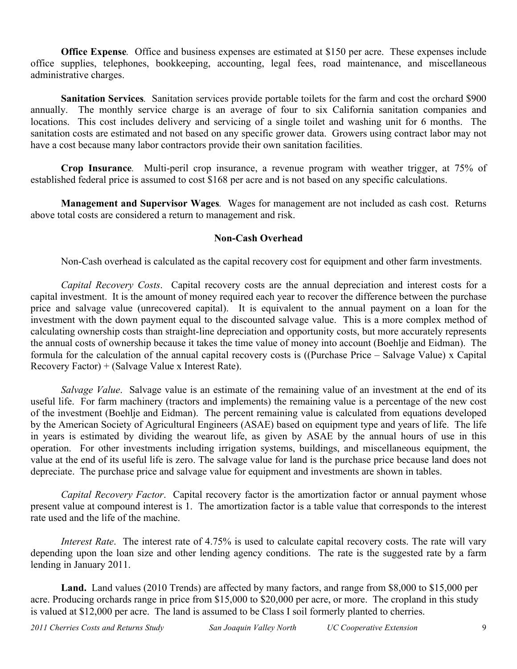**Office Expense***.* Office and business expenses are estimated at \$150 per acre. These expenses include office supplies, telephones, bookkeeping, accounting, legal fees, road maintenance, and miscellaneous administrative charges.

**Sanitation Services***.* Sanitation services provide portable toilets for the farm and cost the orchard \$900 annually. The monthly service charge is an average of four to six California sanitation companies and locations. This cost includes delivery and servicing of a single toilet and washing unit for 6 months. The sanitation costs are estimated and not based on any specific grower data. Growers using contract labor may not have a cost because many labor contractors provide their own sanitation facilities.

**Crop Insurance***.* Multi-peril crop insurance, a revenue program with weather trigger, at 75% of established federal price is assumed to cost \$168 per acre and is not based on any specific calculations.

**Management and Supervisor Wages***.* Wages for management are not included as cash cost. Returns above total costs are considered a return to management and risk.

# **Non-Cash Overhead**

Non-Cash overhead is calculated as the capital recovery cost for equipment and other farm investments.

*Capital Recovery Costs*. Capital recovery costs are the annual depreciation and interest costs for a capital investment. It is the amount of money required each year to recover the difference between the purchase price and salvage value (unrecovered capital). It is equivalent to the annual payment on a loan for the investment with the down payment equal to the discounted salvage value. This is a more complex method of calculating ownership costs than straight-line depreciation and opportunity costs, but more accurately represents the annual costs of ownership because it takes the time value of money into account (Boehlje and Eidman). The formula for the calculation of the annual capital recovery costs is ((Purchase Price – Salvage Value) x Capital Recovery Factor) + (Salvage Value x Interest Rate).

*Salvage Value*. Salvage value is an estimate of the remaining value of an investment at the end of its useful life. For farm machinery (tractors and implements) the remaining value is a percentage of the new cost of the investment (Boehlje and Eidman). The percent remaining value is calculated from equations developed by the American Society of Agricultural Engineers (ASAE) based on equipment type and years of life. The life in years is estimated by dividing the wearout life, as given by ASAE by the annual hours of use in this operation. For other investments including irrigation systems, buildings, and miscellaneous equipment, the value at the end of its useful life is zero. The salvage value for land is the purchase price because land does not depreciate. The purchase price and salvage value for equipment and investments are shown in tables.

*Capital Recovery Factor*. Capital recovery factor is the amortization factor or annual payment whose present value at compound interest is 1. The amortization factor is a table value that corresponds to the interest rate used and the life of the machine.

*Interest Rate*. The interest rate of 4.75% is used to calculate capital recovery costs. The rate will vary depending upon the loan size and other lending agency conditions. The rate is the suggested rate by a farm lending in January 2011.

**Land.** Land values (2010 Trends) are affected by many factors, and range from \$8,000 to \$15,000 per acre. Producing orchards range in price from \$15,000 to \$20,000 per acre, or more. The cropland in this study is valued at \$12,000 per acre. The land is assumed to be Class I soil formerly planted to cherries.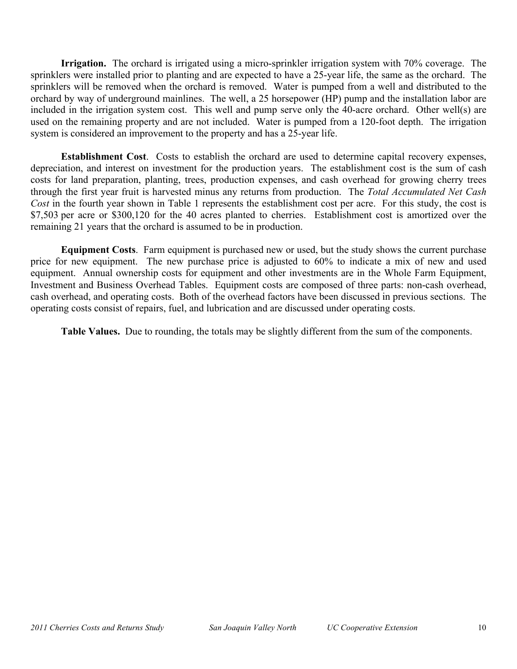**Irrigation.** The orchard is irrigated using a micro-sprinkler irrigation system with 70% coverage. The sprinklers were installed prior to planting and are expected to have a 25-year life, the same as the orchard. The sprinklers will be removed when the orchard is removed. Water is pumped from a well and distributed to the orchard by way of underground mainlines. The well, a 25 horsepower (HP) pump and the installation labor are included in the irrigation system cost. This well and pump serve only the 40-acre orchard. Other well(s) are used on the remaining property and are not included. Water is pumped from a 120-foot depth. The irrigation system is considered an improvement to the property and has a 25-year life.

**Establishment Cost**. Costs to establish the orchard are used to determine capital recovery expenses, depreciation, and interest on investment for the production years. The establishment cost is the sum of cash costs for land preparation, planting, trees, production expenses, and cash overhead for growing cherry trees through the first year fruit is harvested minus any returns from production. The *Total Accumulated Net Cash Cost* in the fourth year shown in Table 1 represents the establishment cost per acre. For this study, the cost is \$7,503 per acre or \$300,120 for the 40 acres planted to cherries. Establishment cost is amortized over the remaining 21 years that the orchard is assumed to be in production.

**Equipment Costs**. Farm equipment is purchased new or used, but the study shows the current purchase price for new equipment. The new purchase price is adjusted to 60% to indicate a mix of new and used equipment. Annual ownership costs for equipment and other investments are in the Whole Farm Equipment, Investment and Business Overhead Tables. Equipment costs are composed of three parts: non-cash overhead, cash overhead, and operating costs. Both of the overhead factors have been discussed in previous sections. The operating costs consist of repairs, fuel, and lubrication and are discussed under operating costs.

**Table Values.** Due to rounding, the totals may be slightly different from the sum of the components.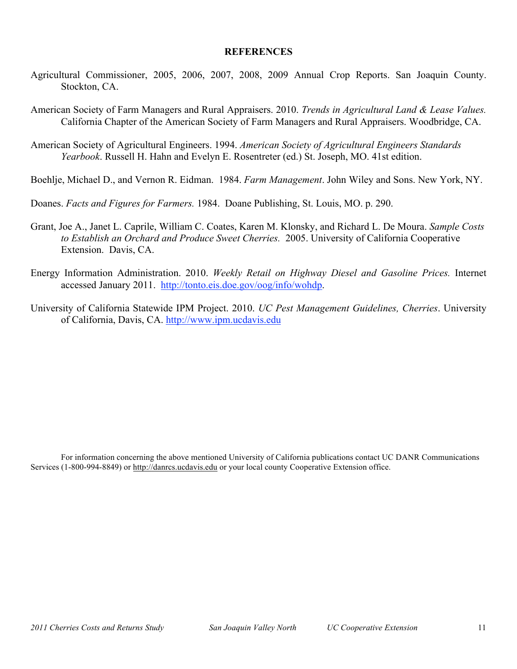## **REFERENCES**

- Agricultural Commissioner, 2005, 2006, 2007, 2008, 2009 Annual Crop Reports. San Joaquin County. Stockton, CA.
- American Society of Farm Managers and Rural Appraisers. 2010. *Trends in Agricultural Land & Lease Values.* California Chapter of the American Society of Farm Managers and Rural Appraisers. Woodbridge, CA.
- American Society of Agricultural Engineers. 1994. *American Society of Agricultural Engineers Standards Yearbook*. Russell H. Hahn and Evelyn E. Rosentreter (ed.) St. Joseph, MO. 41st edition.
- Boehlje, Michael D., and Vernon R. Eidman. 1984. *Farm Management*. John Wiley and Sons. New York, NY.
- Doanes. *Facts and Figures for Farmers.* 1984. Doane Publishing, St. Louis, MO. p. 290.
- Grant, Joe A., Janet L. Caprile, William C. Coates, Karen M. Klonsky, and Richard L. De Moura. *Sample Costs to Establish an Orchard and Produce Sweet Cherries.* 2005. University of California Cooperative Extension. Davis, CA.
- Energy Information Administration. 2010. *Weekly Retail on Highway Diesel and Gasoline Prices.* Internet accessed January 2011. http://tonto.eis.doe.gov/oog/info/wohdp.
- University of California Statewide IPM Project. 2010. *UC Pest Management Guidelines, Cherries*. University of California, Davis, CA. http://www.ipm.ucdavis.edu

For information concerning the above mentioned University of California publications contact UC DANR Communications Services (1-800-994-8849) or http://danrcs.ucdavis.edu or your local county Cooperative Extension office.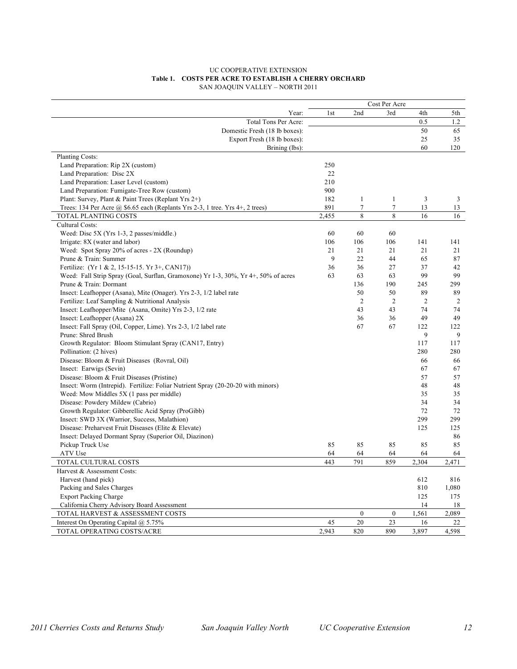### UC COOPERATIVE EXTENSION **Table 1. COSTS PER ACRE TO ESTABLISH A CHERRY ORCHARD** SAN JOAQUIN VALLEY – NORTH 2011

|                                                                                    |                 | Cost Per Acre  |                |                |                |
|------------------------------------------------------------------------------------|-----------------|----------------|----------------|----------------|----------------|
| Year:                                                                              | 1 <sub>st</sub> | 2nd            | 3rd            | 4th            | 5th            |
| Total Tons Per Acre:                                                               |                 |                |                | 0.5            | 1.2            |
| Domestic Fresh (18 lb boxes):                                                      |                 |                |                | 50             | 65             |
| Export Fresh (18 lb boxes):                                                        |                 |                |                | 25             | 35             |
| Brining (lbs):                                                                     |                 |                |                | 60             | 120            |
| Planting Costs:                                                                    |                 |                |                |                |                |
| Land Preparation: Rip 2X (custom)                                                  | 250             |                |                |                |                |
| Land Preparation: Disc 2X                                                          | 22              |                |                |                |                |
| Land Preparation: Laser Level (custom)                                             | 210             |                |                |                |                |
| Land Preparation: Fumigate-Tree Row (custom)                                       | 900             |                |                |                |                |
| Plant: Survey, Plant & Paint Trees (Replant Yrs 2+)                                | 182             | 1              | 1              | $\overline{3}$ | 3              |
| Trees: 134 Per Acre @ \$6.65 each (Replants Yrs 2-3, 1 tree. Yrs 4+, 2 trees)      | 891             | 7              | $\overline{7}$ | 13             | 13             |
| TOTAL PLANTING COSTS                                                               | 2,455           | 8              | 8              | 16             | 16             |
| Cultural Costs:                                                                    |                 |                |                |                |                |
| Weed: Disc 5X (Yrs 1-3, 2 passes/middle.)                                          | 60              | 60             | 60             |                |                |
| Irrigate: 8X (water and labor)                                                     | 106             | 106            | 106            | 141            | 141            |
| Weed: Spot Spray 20% of acres - 2X (Roundup)                                       | 21              | 21             | 21             | 21             | 21             |
| Prune & Train: Summer                                                              | 9               | 22             | 44             | 65             | 87             |
| Fertilize: (Yr 1 & 2, 15-15-15. Yr 3+, CAN17))                                     | 36              | 36             | 27             | 37             | 42             |
| Weed: Fall Strip Spray (Goal, Surflan, Gramoxone) Yr 1-3, 30%, Yr 4+, 50% of acres | 63              | 63             | 63             | 99             | 99             |
| Prune & Train: Dormant                                                             |                 | 136            | 190            | 245            | 299            |
| Insect: Leafhopper (Asana), Mite (Onager). Yrs 2-3, 1/2 label rate                 |                 | 50             | 50             | 89             | 89             |
| Fertilize: Leaf Sampling & Nutritional Analysis                                    |                 | $\overline{2}$ | $\overline{2}$ | $\overline{2}$ | $\overline{c}$ |
| Insect: Leafhopper/Mite (Asana, Omite) Yrs 2-3, 1/2 rate                           |                 | 43             | 43             | 74             | 74             |
| Insect: Leafhopper (Asana) 2X                                                      |                 | 36             | 36             | 49             | 49             |
| Insect: Fall Spray (Oil, Copper, Lime). Yrs 2-3, 1/2 label rate                    |                 | 67             | 67             | 122            | 122            |
| Prune: Shred Brush                                                                 |                 |                |                | 9              | 9              |
| Growth Regulator: Bloom Stimulant Spray (CAN17, Entry)                             |                 |                |                | 117            | 117            |
| Pollination: (2 hives)                                                             |                 |                |                | 280            | 280            |
| Disease: Bloom & Fruit Diseases (Rovral, Oil)                                      |                 |                |                | 66             | 66             |
| Insect: Earwigs (Sevin)                                                            |                 |                |                | 67             | 67             |
| Disease: Bloom & Fruit Diseases (Pristine)                                         |                 |                |                | 57             | 57             |
| Insect: Worm (Intrepid). Fertilize: Foliar Nutrient Spray (20-20-20 with minors)   |                 |                |                | 48             | 48             |
| Weed: Mow Middles 5X (1 pass per middle)                                           |                 |                |                | 35             | 35             |
| Disease: Powdery Mildew (Cabrio)                                                   |                 |                |                | 34             | 34             |
| Growth Regulator: Gibberellic Acid Spray (ProGibb)                                 |                 |                |                | 72             | 72             |
| Insect: SWD 3X (Warrior, Success, Malathion)                                       |                 |                |                | 299            | 299            |
| Disease: Preharvest Fruit Diseases (Elite & Elevate)                               |                 |                |                | 125            | 125            |
| Insect: Delayed Dormant Spray (Superior Oil, Diazinon)                             |                 |                |                |                | 86             |
| Pickup Truck Use                                                                   | 85              | 85             | 85             | 85             | 85             |
| ATV Use                                                                            | 64              | 64             | 64             | 64             | 64             |
| TOTAL CULTURAL COSTS                                                               | 443             | 791            | 859            | 2,304          | 2,471          |
| Harvest & Assessment Costs:                                                        |                 |                |                |                |                |
| Harvest (hand pick)                                                                |                 |                |                | 612            | 816            |
| Packing and Sales Charges                                                          |                 |                |                | 810            | 1,080          |
| <b>Export Packing Charge</b>                                                       |                 |                |                | 125            | 175            |
| California Cherry Advisory Board Assessment                                        |                 |                |                | 14             | 18             |
| TOTAL HARVEST & ASSESSMENT COSTS                                                   |                 | $\overline{0}$ | $\mathbf{0}$   | 1,561          | 2,089          |
| Interest On Operating Capital @ 5.75%                                              | 45              | 20             | 23             | 16             | 22             |
| TOTAL OPERATING COSTS/ACRE                                                         | 2,943           | 820            | 890            | 3,897          | 4,598          |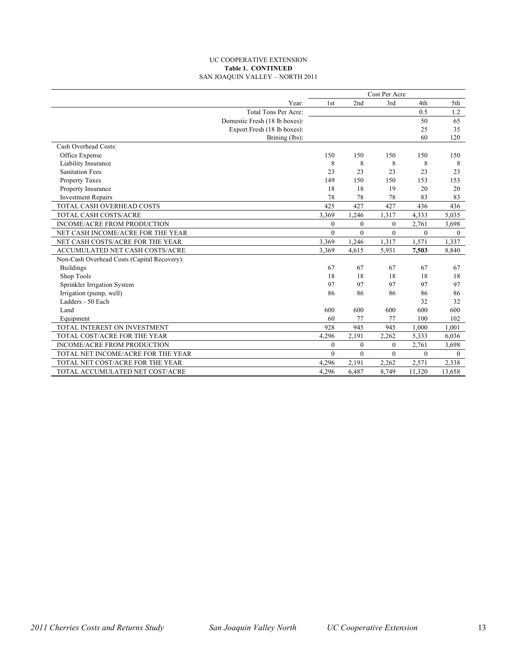### UC COOPERATIVE EXTENSION **Table 1. CONTINUED** SAN JOAQUIN VALLEY – NORTH 2011

|                                             | Cost Per Acre |          |          |              |              |
|---------------------------------------------|---------------|----------|----------|--------------|--------------|
| Year:                                       | 1st           | 2nd      | 3rd      | 4th          | 5th          |
| Total Tons Per Acre:                        |               |          |          | 0.5          | 1.2          |
| Domestic Fresh (18 lb boxes):               |               |          |          | 50           | 65           |
| Export Fresh (18 lb boxes):                 |               |          |          | 25           | 35           |
| Brining (lbs):                              |               |          |          | 60           | 120          |
| Cash Overhead Costs:                        |               |          |          |              |              |
| Office Expense                              | 150           | 150      | 150      | 150          | 150          |
| Liability Insurance                         | 8             | 8        | 8        | 8            | 8            |
| <b>Sanitation Fees</b>                      | 23            | 23       | 23       | 23           | 23           |
| Property Taxes                              | 149           | 150      | 150      | 153          | 153          |
| Property Insurance                          | 18            | 18       | 19       | 20           | 20           |
| <b>Investment Repairs</b>                   | 78            | 78       | 78       | 83           | 83           |
| TOTAL CASH OVERHEAD COSTS                   | 425           | 427      | 427      | 436          | 436          |
| TOTAL CASH COSTS/ACRE                       | 3,369         | 1,246    | 1,317    | 4,333        | 5,035        |
| <b>INCOME/ACRE FROM PRODUCTION</b>          | $\Omega$      | $\theta$ | $\theta$ | 2,761        | 3,698        |
| NET CASH INCOME/ACRE FOR THE YEAR           | $\Omega$      | $\theta$ | $\theta$ | $\mathbf{0}$ | $\mathbf{0}$ |
| NET CASH COSTS/ACRE FOR THE YEAR            | 3,369         | 1,246    | 1,317    | 1,571        | 1,337        |
| ACCUMULATED NET CASH COSTS/ACRE             | 3,369         | 4,615    | 5,931    | 7,503        | 8,840        |
| Non-Cash Overhead Costs (Capital Recovery): |               |          |          |              |              |
| <b>Buildings</b>                            | 67            | 67       | 67       | 67           | 67           |
| Shop Tools                                  | 18            | 18       | 18       | 18           | 18           |
| Sprinkler Irrigation System                 | 97            | 97       | 97       | 97           | 97           |
| Irrigation (pump, well)                     | 86            | 86       | 86       | 86           | 86           |
| Ladders - 50 Each                           |               |          |          | 32           | 32           |
| Land                                        | 600           | 600      | 600      | 600          | 600          |
| Equipment                                   | 60            | 77       | 77       | 100          | 102          |
| TOTAL INTEREST ON INVESTMENT                | 928           | 945      | 945      | 1.000        | 1.001        |
| TOTAL COST/ACRE FOR THE YEAR                | 4,296         | 2,191    | 2,262    | 5,333        | 6,036        |
| <b>INCOME/ACRE FROM PRODUCTION</b>          | $\Omega$      | $\theta$ | $\theta$ | 2,761        | 3,698        |
| TOTAL NET INCOME/ACRE FOR THE YEAR          | $\Omega$      | $\Omega$ | $\Omega$ | $\Omega$     | $\Omega$     |
| TOTAL NET COST/ACRE FOR THE YEAR            | 4,296         | 2,191    | 2,262    | 2,571        | 2,338        |
| TOTAL ACCUMULATED NET COST/ACRE             | 4.296         | 6,487    | 8.749    | 11.320       | 13.658       |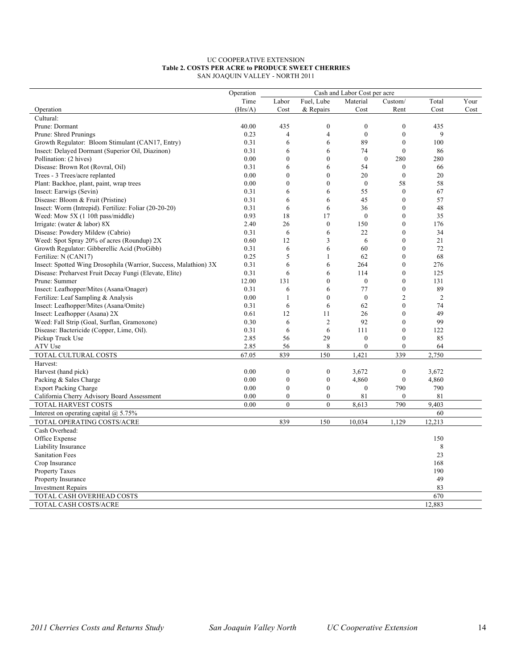#### UC COOPERATIVE EXTENSION **Table 2. COSTS PER ACRE to PRODUCE SWEET CHERRIES** SAN JOAQUIN VALLEY - NORTH 2011

|                                                                  | Operation | Cash and Labor Cost per acre |                  |                  |                  |                |      |
|------------------------------------------------------------------|-----------|------------------------------|------------------|------------------|------------------|----------------|------|
|                                                                  | Time      | Labor                        | Fuel, Lube       | Material         | Custom/          | Total          | Your |
| Operation                                                        | (Hrs/A)   | Cost                         | & Repairs        | Cost             | Rent             | Cost           | Cost |
| Cultural:                                                        |           |                              |                  |                  |                  |                |      |
| Prune: Dormant                                                   | 40.00     | 435                          | $\boldsymbol{0}$ | $\mathbf{0}$     | $\mathbf{0}$     | 435            |      |
| Prune: Shred Prunings                                            | 0.23      | $\overline{4}$               | 4                | $\boldsymbol{0}$ | $\mathbf{0}$     | 9              |      |
| Growth Regulator: Bloom Stimulant (CAN17, Entry)                 | 0.31      | 6                            | 6                | 89               | $\mathbf{0}$     | 100            |      |
| Insect: Delayed Dormant (Superior Oil, Diazinon)                 | 0.31      | 6                            | 6                | 74               | $\mathbf{0}$     | 86             |      |
| Pollination: (2 hives)                                           | 0.00      | $\boldsymbol{0}$             | $\theta$         | $\boldsymbol{0}$ | 280              | 280            |      |
| Disease: Brown Rot (Rovral, Oil)                                 | 0.31      | 6                            | 6                | 54               | $\mathbf{0}$     | 66             |      |
| Trees - 3 Trees/acre replanted                                   | 0.00      | $\boldsymbol{0}$             | $\boldsymbol{0}$ | 20               | $\boldsymbol{0}$ | 20             |      |
| Plant: Backhoe, plant, paint, wrap trees                         | 0.00      | $\mathbf{0}$                 | $\mathbf{0}$     | $\boldsymbol{0}$ | 58               | 58             |      |
| Insect: Earwigs (Sevin)                                          | 0.31      | 6                            | 6                | 55               | $\mathbf{0}$     | 67             |      |
| Disease: Bloom & Fruit (Pristine)                                | 0.31      | 6                            | 6                | 45               | $\mathbf{0}$     | 57             |      |
| Insect: Worm (Intrepid). Fertilize: Foliar (20-20-20)            | 0.31      | 6                            | 6                | 36               | $\mathbf{0}$     | 48             |      |
| Weed: Mow 5X (1 10ft pass/middle)                                | 0.93      | 18                           | 17               | $\boldsymbol{0}$ | $\boldsymbol{0}$ | 35             |      |
| Irrigate: (water $&$ labor) 8X                                   | 2.40      | 26                           | $\overline{0}$   | 150              | $\mathbf{0}$     | 176            |      |
| Disease: Powdery Mildew (Cabrio)                                 | 0.31      | 6                            | 6                | 22               | $\mathbf{0}$     | 34             |      |
| Weed: Spot Spray 20% of acres (Roundup) 2X                       | 0.60      | 12                           | 3                | 6                | $\theta$         | 21             |      |
| Growth Regulator: Gibberellic Acid (ProGibb)                     | 0.31      | 6                            | 6                | 60               | $\mathbf{0}$     | 72             |      |
| Fertilize: N (CAN17)                                             | 0.25      | 5                            | 1                | 62               | $\boldsymbol{0}$ | 68             |      |
| Insect: Spotted Wing Drosophila (Warrior, Success, Malathion) 3X | 0.31      | 6                            | 6                | 264              | $\mathbf{0}$     | 276            |      |
| Disease: Preharvest Fruit Decay Fungi (Elevate, Elite)           | 0.31      | 6                            | 6                | 114              | $\mathbf{0}$     | 125            |      |
| Prune: Summer                                                    | 12.00     | 131                          | $\theta$         | $\theta$         | $\mathbf{0}$     | 131            |      |
| Insect: Leafhopper/Mites (Asana/Onager)                          | 0.31      | 6                            | 6                | 77               | $\mathbf{0}$     | 89             |      |
| Fertilize: Leaf Sampling & Analysis                              | 0.00      | 1                            | $\theta$         | $\theta$         | $\overline{2}$   | $\overline{2}$ |      |
| Insect: Leafhopper/Mites (Asana/Omite)                           | 0.31      | 6                            | 6                | 62               | $\mathbf{0}$     | 74             |      |
| Insect: Leafhopper (Asana) 2X                                    | 0.61      | 12                           | 11               | 26               | $\mathbf{0}$     | 49             |      |
| Weed: Fall Strip (Goal, Surflan, Gramoxone)                      | 0.30      | 6                            | $\overline{c}$   | 92               | $\mathbf{0}$     | 99             |      |
| Disease: Bactericide (Copper, Lime, Oil).                        | 0.31      | 6                            | 6                | 111              | $\boldsymbol{0}$ | 122            |      |
| Pickup Truck Use                                                 | 2.85      | 56                           | 29               | $\boldsymbol{0}$ | $\boldsymbol{0}$ | 85             |      |
| ATV Use                                                          | 2.85      | 56                           | 8                | $\overline{0}$   | $\mathbf{0}$     | 64             |      |
| TOTAL CULTURAL COSTS                                             | 67.05     | 839                          | 150              | 1.421            | 339              | 2,750          |      |
| Harvest:                                                         |           |                              |                  |                  |                  |                |      |
| Harvest (hand pick)                                              | 0.00      | $\boldsymbol{0}$             | $\boldsymbol{0}$ | 3,672            | $\boldsymbol{0}$ | 3,672          |      |
| Packing & Sales Charge                                           | 0.00      | $\boldsymbol{0}$             | $\boldsymbol{0}$ | 4,860            | $\theta$         | 4,860          |      |
| <b>Export Packing Charge</b>                                     | 0.00      | $\boldsymbol{0}$             | $\mathbf{0}$     | $\mathbf{0}$     | 790              | 790            |      |
| California Cherry Advisory Board Assessment                      | 0.00      | $\boldsymbol{0}$             | $\boldsymbol{0}$ | 81               | $\boldsymbol{0}$ | 81             |      |
| TOTAL HARVEST COSTS                                              | 0.00      | $\mathbf{0}$                 | $\mathbf{0}$     | 8,613            | 790              | 9.403          |      |
| Interest on operating capital $(a)$ 5.75%                        |           |                              |                  |                  |                  | 60             |      |
| TOTAL OPERATING COSTS/ACRE                                       |           | 839                          | 150              | 10,034           | 1,129            | 12,213         |      |
| Cash Overhead:                                                   |           |                              |                  |                  |                  |                |      |
| Office Expense                                                   |           |                              |                  |                  |                  | 150            |      |
| Liability Insurance                                              |           |                              |                  |                  |                  | 8              |      |
| <b>Sanitation Fees</b>                                           |           |                              |                  |                  |                  | 23             |      |
| Crop Insurance                                                   |           |                              |                  |                  |                  | 168            |      |
| Property Taxes                                                   |           |                              |                  |                  |                  | 190            |      |
| Property Insurance                                               |           |                              |                  |                  |                  | 49             |      |
| <b>Investment Repairs</b>                                        |           |                              |                  |                  |                  | 83             |      |
| TOTAL CASH OVERHEAD COSTS                                        |           |                              |                  |                  |                  | 670            |      |
| TOTAL CASH COSTS/ACRE                                            |           |                              |                  |                  |                  | 12,883         |      |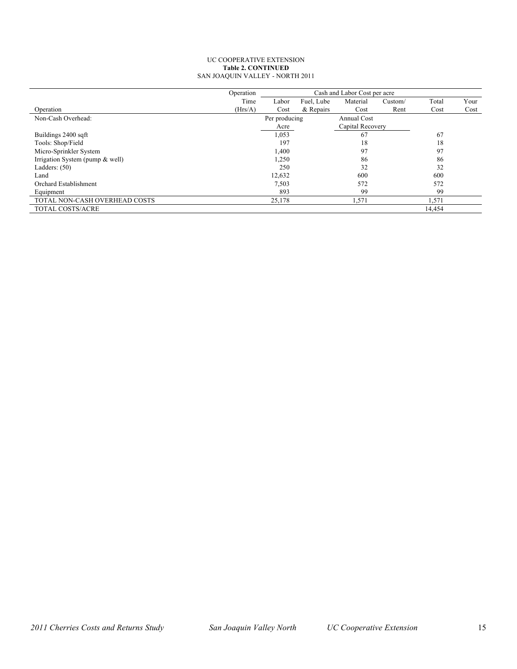#### UC COOPERATIVE EXTENSION **Table 2. CONTINUED** SAN JOAQUIN VALLEY - NORTH 2011

|                                   | Operation | Cash and Labor Cost per acre |            |                  |         |        |      |  |  |
|-----------------------------------|-----------|------------------------------|------------|------------------|---------|--------|------|--|--|
|                                   | Time      | Labor                        | Fuel, Lube | Material         | Custom/ | Total  | Your |  |  |
| Operation                         | (Hrs/A)   | Cost                         | & Repairs  | Cost             | Rent    | Cost   | Cost |  |  |
| Non-Cash Overhead:                |           | Per producing                |            |                  |         |        |      |  |  |
|                                   |           | Acre                         |            | Capital Recovery |         |        |      |  |  |
| Buildings 2400 sqft               |           | 1,053                        |            | 67               |         | 67     |      |  |  |
| Tools: Shop/Field                 |           | 197                          |            | 18               |         | 18     |      |  |  |
| Micro-Sprinkler System            |           | 1,400                        |            | 97               |         | 97     |      |  |  |
| Irrigation System (pump $&$ well) |           | 1,250                        |            | 86               |         | 86     |      |  |  |
| Ladders: $(50)$                   |           | 250                          |            | 32               |         | 32     |      |  |  |
| Land                              |           | 12,632                       |            | 600              |         | 600    |      |  |  |
| Orchard Establishment             |           | 7,503                        |            | 572              |         | 572    |      |  |  |
| Equipment                         |           | 893                          |            | 99               |         | 99     |      |  |  |
| TOTAL NON-CASH OVERHEAD COSTS     |           | 25,178                       |            | 1,571            |         | 1,571  |      |  |  |
| <b>TOTAL COSTS/ACRE</b>           |           |                              |            |                  |         | 14,454 |      |  |  |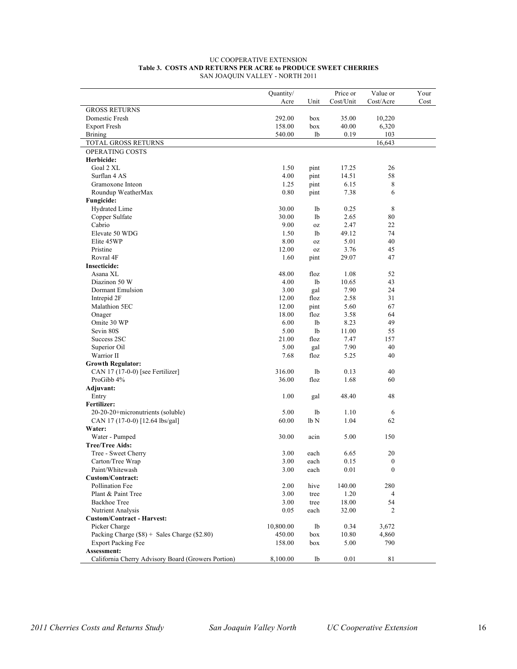|                                                    | Quantity/ |      | Price or  | Value or         | Your |
|----------------------------------------------------|-----------|------|-----------|------------------|------|
|                                                    | Acre      | Unit | Cost/Unit | Cost/Acre        | Cost |
| <b>GROSS RETURNS</b>                               |           |      |           |                  |      |
| Domestic Fresh                                     | 292.00    | box  | 35.00     | 10,220           |      |
| <b>Export Fresh</b>                                | 158.00    | box  | 40.00     | 6,320            |      |
| <b>Brining</b>                                     | 540.00    | lb   | 0.19      | 103              |      |
| TOTAL GROSS RETURNS                                |           |      |           | 16,643           |      |
| OPERATING COSTS                                    |           |      |           |                  |      |
| Herbicide:                                         |           |      |           |                  |      |
| Goal 2 XL                                          | 1.50      | pint | 17.25     | 26               |      |
| Surflan 4 AS                                       | 4.00      | pint | 14.51     | 58               |      |
| Gramoxone Inteon                                   | 1.25      | pint | 6.15      | 8                |      |
| Roundup WeatherMax                                 | 0.80      | pint | 7.38      | 6                |      |
| Fungicide:                                         |           |      |           |                  |      |
| <b>Hydrated Lime</b>                               | 30.00     | 1b   | 0.25      | 8                |      |
| Copper Sulfate                                     | 30.00     | 1b   | 2.65      | 80               |      |
| Cabrio                                             | 9.00      | 0Z   | 2.47      | 22               |      |
| Elevate 50 WDG                                     | 1.50      | 1b   | 49.12     | 74               |      |
| Elite 45WP                                         | 8.00      | 0Z   | 5.01      | 40               |      |
| Pristine                                           | 12.00     | 0Z   | 3.76      | 45               |      |
| Rovral 4F                                          | 1.60      | pint | 29.07     | 47               |      |
| <b>Insecticide:</b>                                |           |      |           |                  |      |
| Asana XL                                           | 48.00     | floz | 1.08      | 52               |      |
| Diazinon 50 W                                      | 4.00      | lb   | 10.65     | 43               |      |
| Dormant Emulsion                                   | 3.00      | gal  | 7.90      | 24               |      |
| Intrepid 2F                                        | 12.00     | floz | 2.58      | 31               |      |
| Malathion 5EC                                      | 12.00     | pint | 5.60      | 67               |      |
| Onager                                             | 18.00     | floz | 3.58      | 64               |      |
| Omite 30 WP                                        | 6.00      | lb   | 8.23      | 49               |      |
| Sevin 80S                                          | 5.00      | 1b   | 11.00     | 55               |      |
| Success 2SC                                        | 21.00     | floz | 7.47      | 157              |      |
| Superior Oil                                       | 5.00      | gal  | 7.90      | 40               |      |
| Warrior II                                         | 7.68      | floz | 5.25      | 40               |      |
| <b>Growth Regulator:</b>                           |           |      |           |                  |      |
| CAN 17 (17-0-0) [see Fertilizer]                   | 316.00    | 1b   | 0.13      | 40               |      |
| ProGibb 4%                                         | 36.00     | floz | 1.68      | 60               |      |
| Adjuvant:                                          |           |      |           |                  |      |
| Entry                                              | 1.00      | gal  | 48.40     | 48               |      |
| Fertilizer:                                        |           |      |           |                  |      |
| 20-20-20+micronutrients (soluble)                  | 5.00      | 1b   | 1.10      | 6                |      |
| CAN 17 (17-0-0) [12.64 lbs/gal]                    | 60.00     | lb N | 1.04      | 62               |      |
| Water:                                             |           |      |           |                  |      |
| Water - Pumped                                     | 30.00     | acin | 5.00      | 150              |      |
| <b>Tree/Tree Aids:</b>                             |           |      |           |                  |      |
| Tree - Sweet Cherry                                | 3.00      | each | 6.65      | 20               |      |
| Carton/Tree Wrap                                   | 3.00      | each | 0.15      | $\boldsymbol{0}$ |      |
| Paint/Whitewash                                    | 3.00      | each | 0.01      | $\boldsymbol{0}$ |      |
| <b>Custom/Contract:</b>                            |           |      |           |                  |      |
| Pollination Fee                                    | 2.00      | hive | 140.00    | 280              |      |
| Plant & Paint Tree                                 | 3.00      | tree | 1.20      | $\overline{4}$   |      |
| <b>Backhoe Tree</b>                                | 3.00      | tree | 18.00     | 54               |      |
| Nutrient Analysis                                  | 0.05      | each | 32.00     | 2                |      |
| <b>Custom/Contract - Harvest:</b>                  |           |      |           |                  |      |
| Picker Charge                                      | 10,800.00 | lb   | 0.34      | 3,672            |      |
| Packing Charge $(\$8)$ + Sales Charge $(\$2.80)$   | 450.00    | box  | 10.80     | 4,860            |      |
| <b>Export Packing Fee</b>                          | 158.00    | box  | 5.00      | 790              |      |
| Assessment:                                        |           |      |           |                  |      |
| California Cherry Advisory Board (Growers Portion) | 8,100.00  | lb   | 0.01      | 81               |      |
|                                                    |           |      |           |                  |      |

#### UC COOPERATIVE EXTENSION **Table 3. COSTS AND RETURNS PER ACRE to PRODUCE SWEET CHERRIES** SAN JOAQUIN VALLEY - NORTH 2011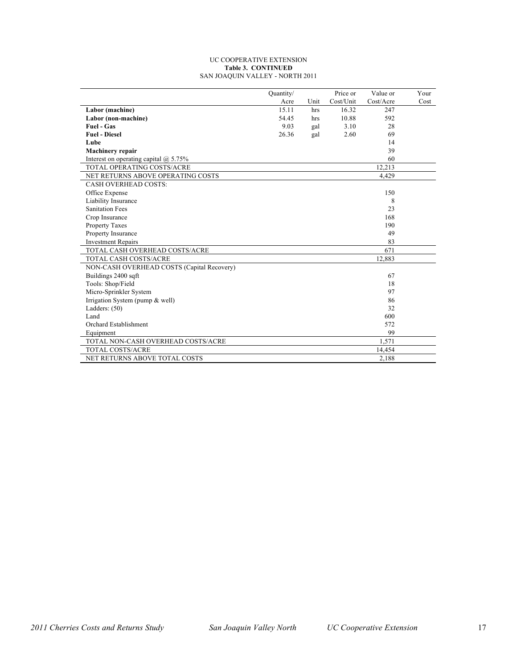#### UC COOPERATIVE EXTENSION **Table 3. CONTINUED** SAN JOAQUIN VALLEY - NORTH 2011

|                                              | Quantity/ |      | Price or  | Value or  | Your |
|----------------------------------------------|-----------|------|-----------|-----------|------|
|                                              | Acre      | Unit | Cost/Unit | Cost/Acre | Cost |
| Labor (machine)                              | 15.11     | hrs  | 16.32     | 247       |      |
| Labor (non-machine)                          | 54.45     | hrs  | 10.88     | 592       |      |
| <b>Fuel - Gas</b>                            | 9.03      | gal  | 3.10      | 28        |      |
| <b>Fuel - Diesel</b>                         | 26.36     | gal  | 2.60      | 69        |      |
| Lube                                         |           |      |           | 14        |      |
| <b>Machinery repair</b>                      |           |      |           | 39        |      |
| Interest on operating capital $\omega$ 5.75% |           |      |           | 60        |      |
| <b>TOTAL OPERATING COSTS/ACRE</b>            |           |      |           | 12,213    |      |
| NET RETURNS ABOVE OPERATING COSTS            |           |      |           | 4,429     |      |
| <b>CASH OVERHEAD COSTS:</b>                  |           |      |           |           |      |
| Office Expense                               |           |      |           | 150       |      |
| Liability Insurance                          |           |      |           | 8         |      |
| <b>Sanitation Fees</b>                       |           |      |           | 23        |      |
| Crop Insurance                               |           |      |           | 168       |      |
| <b>Property Taxes</b>                        |           |      |           | 190       |      |
| Property Insurance                           |           |      |           | 49        |      |
| <b>Investment Repairs</b>                    |           |      |           | 83        |      |
| TOTAL CASH OVERHEAD COSTS/ACRE               |           |      |           | 671       |      |
| TOTAL CASH COSTS/ACRE                        |           |      |           | 12,883    |      |
| NON-CASH OVERHEAD COSTS (Capital Recovery)   |           |      |           |           |      |
| Buildings 2400 sqft                          |           |      |           | 67        |      |
| Tools: Shop/Field                            |           |      |           | 18        |      |
| Micro-Sprinkler System                       |           |      |           | 97        |      |
| Irrigation System (pump & well)              |           |      |           | 86        |      |
| Ladders: $(50)$                              |           |      |           | 32        |      |
| Land                                         |           |      |           | 600       |      |
| Orchard Establishment                        |           |      |           | 572       |      |
| Equipment                                    |           |      |           | 99        |      |
| TOTAL NON-CASH OVERHEAD COSTS/ACRE           |           |      |           | 1,571     |      |
| <b>TOTAL COSTS/ACRE</b>                      |           |      |           | 14,454    |      |
| NET RETURNS ABOVE TOTAL COSTS                |           |      |           | 2,188     |      |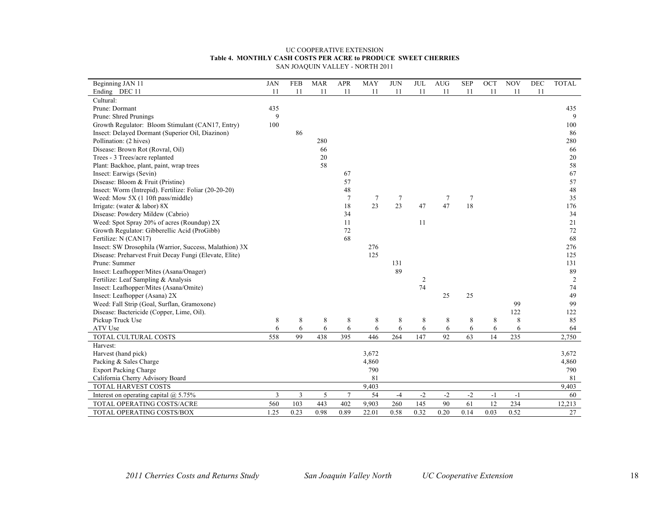#### UC COOPERATIVE EXTENSION **Table 4. MONTHLY CASH COSTS PER ACRE to PRODUCE SWEET CHERRIES** SAN JOAQUIN VALLEY - NORTH 2011

| Beginning JAN 11                                       | <b>JAN</b> | <b>FEB</b> | <b>MAR</b> | <b>APR</b> | <b>MAY</b> | <b>JUN</b> | <b>JUL</b> | <b>AUG</b> | <b>SEP</b> | OCT  | <b>NOV</b> | <b>DEC</b> | <b>TOTAL</b> |
|--------------------------------------------------------|------------|------------|------------|------------|------------|------------|------------|------------|------------|------|------------|------------|--------------|
| Ending DEC 11                                          | 11         | 11         | 11         | 11         | 11         | 11         | 11         | 11         | 11         | 11   | 11         | 11         |              |
| Cultural:                                              |            |            |            |            |            |            |            |            |            |      |            |            |              |
| Prune: Dormant                                         | 435        |            |            |            |            |            |            |            |            |      |            |            | 435          |
| Prune: Shred Prunings                                  | 9          |            |            |            |            |            |            |            |            |      |            |            | 9            |
| Growth Regulator: Bloom Stimulant (CAN17, Entry)       | 100        |            |            |            |            |            |            |            |            |      |            |            | 100          |
| Insect: Delayed Dormant (Superior Oil, Diazinon)       |            | 86         |            |            |            |            |            |            |            |      |            |            | 86           |
| Pollination: (2 hives)                                 |            |            | 280        |            |            |            |            |            |            |      |            |            | 280          |
| Disease: Brown Rot (Rovral, Oil)                       |            |            | 66         |            |            |            |            |            |            |      |            |            | 66           |
| Trees - 3 Trees/acre replanted                         |            |            | 20         |            |            |            |            |            |            |      |            |            | 20           |
| Plant: Backhoe, plant, paint, wrap trees               |            |            | 58         |            |            |            |            |            |            |      |            |            | 58           |
| Insect: Earwigs (Sevin)                                |            |            |            | 67         |            |            |            |            |            |      |            |            | 67           |
| Disease: Bloom & Fruit (Pristine)                      |            |            |            | 57         |            |            |            |            |            |      |            |            | 57           |
| Insect: Worm (Intrepid). Fertilize: Foliar (20-20-20)  |            |            |            | 48         |            |            |            |            |            |      |            |            | 48           |
| Weed: Mow 5X (1 10ft pass/middle)                      |            |            |            | 7          | 7          | 7          |            | 7          | 7          |      |            |            | 35           |
| Irrigate: (water & labor) 8X                           |            |            |            | 18         | 23         | 23         | 47         | 47         | 18         |      |            |            | 176          |
| Disease: Powdery Mildew (Cabrio)                       |            |            |            | 34         |            |            |            |            |            |      |            |            | 34           |
| Weed: Spot Spray 20% of acres (Roundup) 2X             |            |            |            | 11         |            |            | 11         |            |            |      |            |            | 21           |
| Growth Regulator: Gibberellic Acid (ProGibb)           |            |            |            | 72         |            |            |            |            |            |      |            |            | 72           |
| Fertilize: N (CAN17)                                   |            |            |            | 68         |            |            |            |            |            |      |            |            | 68           |
| Insect: SW Drosophila (Warrior, Success, Malathion) 3X |            |            |            |            | 276        |            |            |            |            |      |            |            | 276          |
| Disease: Preharvest Fruit Decay Fungi (Elevate, Elite) |            |            |            |            | 125        |            |            |            |            |      |            |            | 125          |
| Prune: Summer                                          |            |            |            |            |            | 131        |            |            |            |      |            |            | 131          |
| Insect: Leafhopper/Mites (Asana/Onager)                |            |            |            |            |            | 89         |            |            |            |      |            |            | 89           |
| Fertilize: Leaf Sampling & Analysis                    |            |            |            |            |            |            | 2          |            |            |      |            |            | 2            |
| Insect: Leafhopper/Mites (Asana/Omite)                 |            |            |            |            |            |            | 74         |            |            |      |            |            | 74           |
| Insect: Leafhopper (Asana) 2X                          |            |            |            |            |            |            |            | 25         | 25         |      |            |            | 49           |
| Weed: Fall Strip (Goal, Surflan, Gramoxone)            |            |            |            |            |            |            |            |            |            |      | 99         |            | 99           |
| Disease: Bactericide (Copper, Lime, Oil).              |            |            |            |            |            |            |            |            |            |      | 122        |            | 122          |
| Pickup Truck Use                                       | 8          | 8          | 8          | 8          | 8          | 8          | 8          | 8          | 8          | 8    | 8          |            | 85           |
| ATV Use                                                | 6          | 6          | 6          | 6          | 6          | 6          | 6          | 6          | 6          | 6    | 6          |            | 64           |
| TOTAL CULTURAL COSTS                                   | 558        | 99         | 438        | 395        | 446        | 264        | 147        | 92         | 63         | 14   | 235        |            | 2,750        |
| Harvest:                                               |            |            |            |            |            |            |            |            |            |      |            |            |              |
| Harvest (hand pick)                                    |            |            |            |            | 3,672      |            |            |            |            |      |            |            | 3,672        |
| Packing & Sales Charge                                 |            |            |            |            | 4,860      |            |            |            |            |      |            |            | 4,860        |
| <b>Export Packing Charge</b>                           |            |            |            |            | 790        |            |            |            |            |      |            |            | 790          |
| California Cherry Advisory Board                       |            |            |            |            | 81         |            |            |            |            |      |            |            | 81           |
| TOTAL HARVEST COSTS                                    |            |            |            |            | 9,403      |            |            |            |            |      |            |            | 9,403        |
| Interest on operating capital $\omega$ 5.75%           | 3          | 3          | 5          | 7          | 54         | $-4$       | $-2$       | $-2$       | $-2$       | $-1$ | $-1$       |            | 60           |
| TOTAL OPERATING COSTS/ACRE                             | 560        | 103        | 443        | 402        | 9,903      | 260        | 145        | 90         | 61         | 12   | 234        |            | 12,213       |
| TOTAL OPERATING COSTS/BOX                              | 1.25       | 0.23       | 0.98       | 0.89       | 22.01      | 0.58       | 0.32       | 0.20       | 0.14       | 0.03 | 0.52       |            | 27           |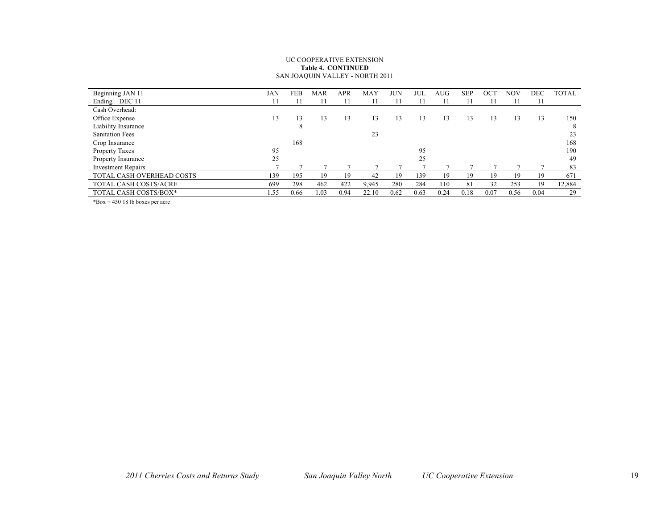#### UC COOPERATIVE EXTENSION **Table 4. CONTINUED** SAN JOAQUIN VALLEY - NORTH 2011

| Beginning JAN 11          | JAN  | FEB  | <b>MAR</b> | APR  | MAY   | JUN  | JUL  | AUG  | <b>SEP</b> | OC <sub>1</sub> | <b>NOV</b> | DEC  | <b>TOTAL</b> |
|---------------------------|------|------|------------|------|-------|------|------|------|------------|-----------------|------------|------|--------------|
| Ending DEC 11             | 11   |      |            |      |       |      |      |      |            |                 |            | 11   |              |
| Cash Overhead:            |      |      |            |      |       |      |      |      |            |                 |            |      |              |
| Office Expense            | 13   | 13   | 13         | 13   | 13    | 13   | 13   | 13   | 13         | 13              | 13         | 13   | 150          |
| Liability Insurance       |      | 8    |            |      |       |      |      |      |            |                 |            |      | 8            |
| <b>Sanitation Fees</b>    |      |      |            |      | 23    |      |      |      |            |                 |            |      | 23           |
| Crop Insurance            |      | 168  |            |      |       |      |      |      |            |                 |            |      | 168          |
| Property Taxes            | 95   |      |            |      |       |      | 95   |      |            |                 |            |      | 190          |
| Property Insurance        | 25   |      |            |      |       |      | 25   |      |            |                 |            |      | 49           |
| <b>Investment Repairs</b> |      |      |            |      |       |      |      |      |            |                 |            |      | 83           |
| TOTAL CASH OVERHEAD COSTS | 139  | 195  | 19         | 19   | 42    | 19   | 139  | 19   | 19         | 19              | 19         | 19   | 671          |
| TOTAL CASH COSTS/ACRE     | 699  | 298  | 462        | 422  | 9,945 | 280  | 284  | 110  | 81         | 32              | 253        | 19   | 12,884       |
| TOTAL CASH COSTS/BOX*     | l.55 | 0.66 | 1.03       | 0.94 | 22.10 | 0.62 | 0.63 | 0.24 | 0.18       | 0.07            | 0.56       | 0.04 | 29           |

\*Box = 450 18 lb boxes per acre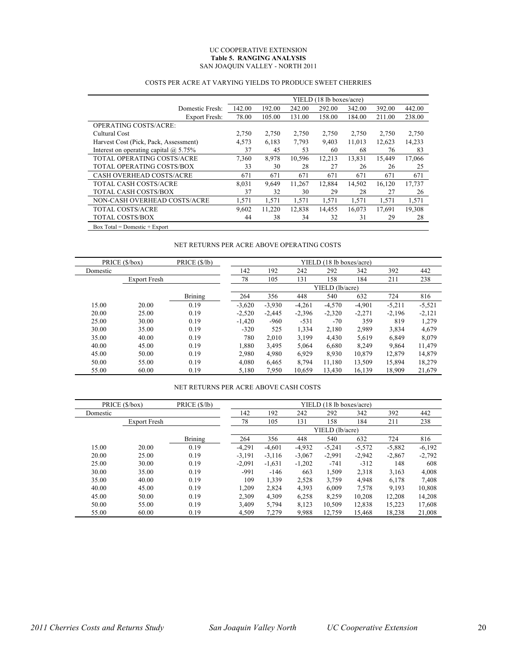#### UC COOPERATIVE EXTENSION **Table 5. RANGING ANALYSIS** SAN JOAQUIN VALLEY - NORTH 2011

|                                              |        |        |        | YIELD (18 lb boxes/acre) |        |        |        |
|----------------------------------------------|--------|--------|--------|--------------------------|--------|--------|--------|
| Domestic Fresh:                              | 142.00 | 192.00 | 242.00 | 292.00                   | 342.00 | 392.00 | 442.00 |
| Export Fresh:                                | 78.00  | 105.00 | 131.00 | 158.00                   | 184.00 | 211.00 | 238.00 |
| <b>OPERATING COSTS/ACRE:</b>                 |        |        |        |                          |        |        |        |
| Cultural Cost                                | 2,750  | 2,750  | 2,750  | 2,750                    | 2,750  | 2,750  | 2,750  |
| Harvest Cost (Pick, Pack, Assessment)        | 4,573  | 6,183  | 7,793  | 9,403                    | 11,013 | 12,623 | 14,233 |
| Interest on operating capital $\omega$ 5.75% | 37     | 45     | 53     | 60                       | 68     | 76     | 83     |
| TOTAL OPERATING COSTS/ACRE                   | 7,360  | 8,978  | 10,596 | 12,213                   | 13,831 | 15,449 | 17,066 |
| TOTAL OPERATING COSTS/BOX                    | 33     | 30     | 28     | 27                       | 26     | 26     | 25     |
| <b>CASH OVERHEAD COSTS/ACRE</b>              | 671    | 671    | 671    | 671                      | 671    | 671    | 671    |
| TOTAL CASH COSTS/ACRE                        | 8,031  | 9,649  | 11,267 | 12,884                   | 14,502 | 16,120 | 17,737 |
| TOTAL CASH COSTS/BOX                         | 37     | 32     | 30     | 29                       | 28     | 27     | 26     |
| NON-CASH OVERHEAD COSTS/ACRE                 | 1,571  | 1,571  | 1,571  | 1,571                    | 1,571  | 1,571  | 1,571  |
| TOTAL COSTS/ACRE                             | 9,602  | 11,220 | 12,838 | 14,455                   | 16,073 | 17.691 | 19,308 |
| <b>TOTAL COSTS/BOX</b>                       | 44     | 38     | 34     | 32                       | 31     | 29     | 28     |
| Box Total = Domestic + Export                |        |        |        |                          |        |        |        |

## COSTS PER ACRE AT VARYING YIELDS TO PRODUCE SWEET CHERRIES

## NET RETURNS PER ACRE ABOVE OPERATING COSTS

|          | PRICE (\$/box)      | PRICE (\$/lb)  |          |          |          | YIELD (18 lb boxes/acre) |          |          |          |
|----------|---------------------|----------------|----------|----------|----------|--------------------------|----------|----------|----------|
| Domestic |                     |                | 142      | 192      | 242      | 292                      | 342      | 392      | 442      |
|          | <b>Export Fresh</b> |                | 78       | 105      | 131      | 158                      | 184      | 211      | 238      |
|          |                     |                |          |          |          | YIELD (lb/acre)          |          |          |          |
|          |                     | <b>Brining</b> | 264      | 356      | 448      | 540                      | 632      | 724      | 816      |
| 15.00    | 20.00               | 0.19           | $-3,620$ | $-3,930$ | $-4,261$ | $-4,570$                 | $-4,901$ | $-5,211$ | $-5,521$ |
| 20.00    | 25.00               | 0.19           | $-2,520$ | $-2.445$ | $-2,396$ | $-2,320$                 | $-2,271$ | $-2,196$ | $-2,121$ |
| 25.00    | 30.00               | 0.19           | $-1,420$ | $-960$   | $-531$   | $-70$                    | 359      | 819      | 1,279    |
| 30.00    | 35.00               | 0.19           | $-320$   | 525      | 1,334    | 2,180                    | 2,989    | 3,834    | 4.679    |
| 35.00    | 40.00               | 0.19           | 780      | 2,010    | 3,199    | 4,430                    | 5,619    | 6,849    | 8,079    |
| 40.00    | 45.00               | 0.19           | 1,880    | 3.495    | 5,064    | 6,680                    | 8,249    | 9,864    | 11,479   |
| 45.00    | 50.00               | 0.19           | 2,980    | 4,980    | 6,929    | 8,930                    | 10.879   | 12,879   | 14,879   |
| 50.00    | 55.00               | 0.19           | 4,080    | 6.465    | 8,794    | 11.180                   | 13,509   | 15,894   | 18,279   |
| 55.00    | 60.00               | 0.19           | 5,180    | 7,950    | 10.659   | 13.430                   | 16.139   | 18.909   | 21,679   |

## NET RETURNS PER ACRE ABOVE CASH COSTS

|          | PRICE (\$/box)      | PRICE (\$/lb)  |          |                 |          | YIELD (18 lb boxes/acre) |          |          |          |  |  |  |
|----------|---------------------|----------------|----------|-----------------|----------|--------------------------|----------|----------|----------|--|--|--|
| Domestic |                     |                | 142      | 192             | 242      | 292                      | 342      | 392      | 442      |  |  |  |
|          | <b>Export Fresh</b> |                | 78       | 105             | 131      | 158                      | 184      | 211      | 238      |  |  |  |
|          |                     |                |          | YIELD (lb/acre) |          |                          |          |          |          |  |  |  |
|          |                     | <b>Brining</b> | 264      | 356             | 448      | 540                      | 632      | 724      | 816      |  |  |  |
| 15.00    | 20.00               | 0.19           | $-4,291$ | $-4,601$        | $-4,932$ | $-5,241$                 | $-5,572$ | $-5,882$ | $-6,192$ |  |  |  |
| 20.00    | 25.00               | 0.19           | $-3.191$ | $-3.116$        | $-3,067$ | $-2,991$                 | $-2.942$ | $-2,867$ | $-2,792$ |  |  |  |
| 25.00    | 30.00               | 0.19           | $-2,091$ | $-1,631$        | $-1,202$ | $-741$                   | $-312$   | 148      | 608      |  |  |  |
| 30.00    | 35.00               | 0.19           | $-991$   | $-146$          | 663      | 1,509                    | 2,318    | 3,163    | 4,008    |  |  |  |
| 35.00    | 40.00               | 0.19           | 109      | 1,339           | 2,528    | 3,759                    | 4,948    | 6,178    | 7,408    |  |  |  |
| 40.00    | 45.00               | 0.19           | 1,209    | 2,824           | 4,393    | 6.009                    | 7,578    | 9.193    | 10,808   |  |  |  |
| 45.00    | 50.00               | 0.19           | 2.309    | 4,309           | 6,258    | 8.259                    | 10.208   | 12.208   | 14,208   |  |  |  |
| 50.00    | 55.00               | 0.19           | 3,409    | 5,794           | 8,123    | 10,509                   | 12,838   | 15,223   | 17,608   |  |  |  |
| 55.00    | 60.00               | 0.19           | 4.509    | 7,279           | 9.988    | 12.759                   | 15.468   | 18.238   | 21,008   |  |  |  |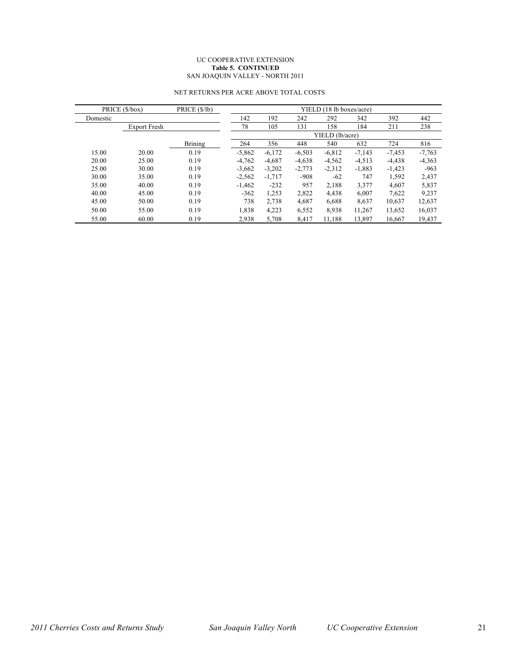#### UC COOPERATIVE EXTENSION **Table 5. CONTINUED** SAN JOAQUIN VALLEY - NORTH 2011

|          | PRICE (\$/box)      | PRICE (\$/lb)  |          |          |          | YIELD (18 lb boxes/acre) |          |          |          |
|----------|---------------------|----------------|----------|----------|----------|--------------------------|----------|----------|----------|
| Domestic |                     |                | 142      | 192      | 242      | 292                      | 342      | 392      | 442      |
|          | <b>Export Fresh</b> |                | 78       | 105      | 131      | 158                      | 184      | 211      | 238      |
|          |                     |                |          |          |          | YIELD (lb/acre)          |          |          |          |
|          |                     | <b>Brining</b> | 264      | 356      | 448      | 540                      | 632      | 724      | 816      |
| 15.00    | 20.00               | 0.19           | $-5.862$ | $-6.172$ | $-6,503$ | $-6,812$                 | $-7.143$ | $-7.453$ | $-7,763$ |
| 20.00    | 25.00               | 0.19           | $-4,762$ | $-4,687$ | $-4,638$ | $-4,562$                 | $-4,513$ | $-4,438$ | $-4,363$ |
| 25.00    | 30.00               | 0.19           | $-3.662$ | $-3,202$ | $-2,773$ | $-2,312$                 | $-1,883$ | $-1,423$ | $-963$   |
| 30.00    | 35.00               | 0.19           | $-2,562$ | $-1.717$ | $-908$   | $-62$                    | 747      | 1,592    | 2,437    |
| 35.00    | 40.00               | 0.19           | $-1.462$ | $-232$   | 957      | 2,188                    | 3,377    | 4,607    | 5,837    |
| 40.00    | 45.00               | 0.19           | $-362$   | 1,253    | 2,822    | 4,438                    | 6,007    | 7,622    | 9.237    |
| 45.00    | 50.00               | 0.19           | 738      | 2,738    | 4,687    | 6,688                    | 8,637    | 10,637   | 12,637   |
| 50.00    | 55.00               | 0.19           | 1,838    | 4,223    | 6,552    | 8,938                    | 11,267   | 13,652   | 16,037   |
| 55.00    | 60.00               | 0.19           | 2,938    | 5.708    | 8.417    | 11,188                   | 13,897   | 16.667   | 19.437   |

## NET RETURNS PER ACRE ABOVE TOTAL COSTS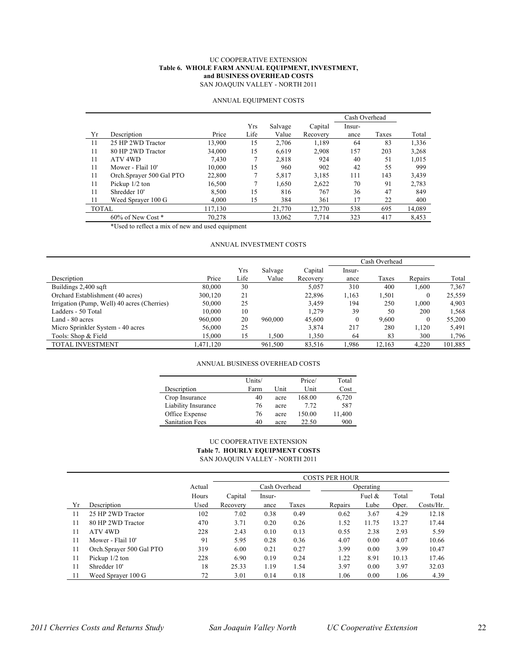#### UC COOPERATIVE EXTENSION **Table 6. WHOLE FARM ANNUAL EQUIPMENT, INVESTMENT, and BUSINESS OVERHEAD COSTS** SAN JOAQUIN VALLEY - NORTH 2011

|              |                          |         |      |         |          | Cash Overhead |       |        |
|--------------|--------------------------|---------|------|---------|----------|---------------|-------|--------|
|              |                          |         | Yrs  | Salvage | Capital  | Insur-        |       |        |
| Yr           | Description              | Price   | Life | Value   | Recovery | ance          | Taxes | Total  |
| 11           | 25 HP 2WD Tractor        | 13,900  | 15   | 2,706   | 1,189    | 64            | 83    | 1,336  |
| 11           | 80 HP 2WD Tractor        | 34,000  | 15   | 6.619   | 2,908    | 157           | 203   | 3,268  |
| 11           | ATV <sub>4WD</sub>       | 7,430   |      | 2.818   | 924      | 40            | 51    | 1,015  |
| 11           | Mower - Flail 10'        | 10,000  | 15   | 960     | 902      | 42            | 55    | 999    |
| 11           | Orch.Sprayer 500 Gal PTO | 22,800  |      | 5,817   | 3,185    | 111           | 143   | 3,439  |
| 11           | Pickup 1/2 ton           | 16,500  |      | 1,650   | 2,622    | 70            | 91    | 2,783  |
| 11           | Shredder 10'             | 8,500   | 15   | 816     | 767      | 36            | 47    | 849    |
| 11           | Weed Sprayer 100 G       | 4,000   | 15   | 384     | 361      | 17            | 22    | 400    |
| <b>TOTAL</b> |                          | 117,130 |      | 21,770  | 12,770   | 538           | 695   | 14,089 |
|              | $60\%$ of New Cost $*$   | 70,278  |      | 13,062  | 7.714    | 323           | 417   | 8,453  |

## ANNUAL EQUIPMENT COSTS

\*Used to reflect a mix of new and used equipment

#### ANNUAL INVESTMENT COSTS

|                                             |           |      |         |          |          | Cash Overhead |         |         |
|---------------------------------------------|-----------|------|---------|----------|----------|---------------|---------|---------|
|                                             |           | Yrs  | Salvage | Capital  | Insur-   |               |         |         |
| Description                                 | Price     | Life | Value   | Recovery | ance     | Taxes         | Repairs | Total   |
| Buildings 2,400 sqft                        | 80,000    | 30   |         | 5,057    | 310      | 400           | 1.600   | 7,367   |
| Orchard Establishment (40 acres)            | 300,120   | 21   |         | 22,896   | 1,163    | 1,501         | 0       | 25,559  |
| Irrigation (Pump, Well) 40 acres (Cherries) | 50,000    | 25   |         | 3,459    | 194      | 250           | 1.000   | 4,903   |
| Ladders - 50 Total                          | 10.000    | 10   |         | 1.279    | 39       | 50            | 200     | 1,568   |
| Land - 80 acres                             | 960,000   | 20   | 960,000 | 45,600   | $\theta$ | 9.600         | 0       | 55,200  |
| Micro Sprinkler System - 40 acres           | 56,000    | 25   |         | 3,874    | 217      | 280           | 1.120   | 5,491   |
| Tools: Shop & Field                         | 15.000    | 15   | 1,500   | 1,350    | 64       | 83            | 300     | 1,796   |
| <b>TOTAL INVESTMENT</b>                     | 1,471,120 |      | 961,500 | 83,516   | 1,986    | 12,163        | 4,220   | 101,885 |

#### ANNUAL BUSINESS OVERHEAD COSTS

|                        | Units/ |      | Price/ | Total  |
|------------------------|--------|------|--------|--------|
| Description            | Farm   | Unit | Unit   | Cost   |
| Crop Insurance         | 40     | acre | 168.00 | 6,720  |
| Liability Insurance    | 76     | acre | 7.72   | 587    |
| Office Expense         | 76     | acre | 150.00 | 11,400 |
| <b>Sanitation Fees</b> | 40     | acre | 22.50  | 900    |

#### UC COOPERATIVE EXTENSION **Table 7. HOURLY EQUIPMENT COSTS** SAN JOAQUIN VALLEY - NORTH 2011

|    |                          |        |               | <b>COSTS PER HOUR</b> |       |         |           |       |           |  |  |
|----|--------------------------|--------|---------------|-----------------------|-------|---------|-----------|-------|-----------|--|--|
|    |                          | Actual | Cash Overhead |                       |       |         | Operating |       |           |  |  |
|    |                          | Hours  | Capital       | Insur-                |       |         | Fuel &    | Total | Total     |  |  |
| Υr | Description              | Used   | Recovery      | ance                  | Taxes | Repairs | Lube      | Oper. | Costs/Hr. |  |  |
| 11 | 25 HP 2WD Tractor        | 102    | 7.02          | 0.38                  | 0.49  | 0.62    | 3.67      | 4.29  | 12.18     |  |  |
| 11 | 80 HP 2WD Tractor        | 470    | 3.71          | 0.20                  | 0.26  | 1.52    | 11.75     | 13.27 | 17.44     |  |  |
| 11 | ATV <sub>4WD</sub>       | 228    | 2.43          | 0.10                  | 0.13  | 0.55    | 2.38      | 2.93  | 5.59      |  |  |
| 11 | Mower - Flail 10'        | 91     | 5.95          | 0.28                  | 0.36  | 4.07    | 0.00      | 4.07  | 10.66     |  |  |
| 11 | Orch.Sprayer 500 Gal PTO | 319    | 6.00          | 0.21                  | 0.27  | 3.99    | 0.00      | 3.99  | 10.47     |  |  |
| 11 | Pickup $1/2$ ton         | 228    | 6.90          | 0.19                  | 0.24  | 1.22    | 8.91      | 10.13 | 17.46     |  |  |
| 11 | Shredder 10'             | 18     | 25.33         | 1.19                  | 1.54  | 3.97    | 0.00      | 3.97  | 32.03     |  |  |
| 11 | Weed Sprayer 100 G       | 72     | 3.01          | 0.14                  | 0.18  | 1.06    | 0.00      | 1.06  | 4.39      |  |  |